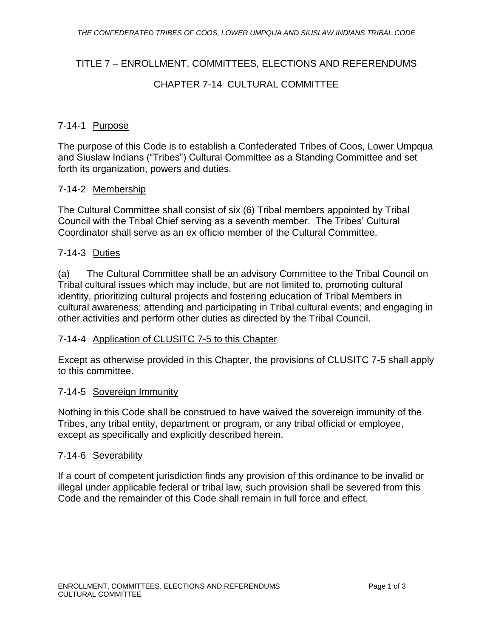# TITLE 7 – ENROLLMENT, COMMITTEES, ELECTIONS AND REFERENDUMS

## CHAPTER 7-14 CULTURAL COMMITTEE

### 7-14-1 Purpose

The purpose of this Code is to establish a Confederated Tribes of Coos, Lower Umpqua and Siuslaw Indians ("Tribes") Cultural Committee as a Standing Committee and set forth its organization, powers and duties.

#### 7-14-2 Membership

The Cultural Committee shall consist of six (6) Tribal members appointed by Tribal Council with the Tribal Chief serving as a seventh member. The Tribes' Cultural Coordinator shall serve as an ex officio member of the Cultural Committee.

## 7-14-3 Duties

(a) The Cultural Committee shall be an advisory Committee to the Tribal Council on Tribal cultural issues which may include, but are not limited to, promoting cultural identity, prioritizing cultural projects and fostering education of Tribal Members in cultural awareness; attending and participating in Tribal cultural events; and engaging in other activities and perform other duties as directed by the Tribal Council.

#### 7-14-4 Application of CLUSITC 7-5 to this Chapter

Except as otherwise provided in this Chapter, the provisions of CLUSITC 7-5 shall apply to this committee.

#### 7-14-5 Sovereign Immunity

Nothing in this Code shall be construed to have waived the sovereign immunity of the Tribes, any tribal entity, department or program, or any tribal official or employee, except as specifically and explicitly described herein.

#### 7-14-6 Severability

If a court of competent jurisdiction finds any provision of this ordinance to be invalid or illegal under applicable federal or tribal law, such provision shall be severed from this Code and the remainder of this Code shall remain in full force and effect.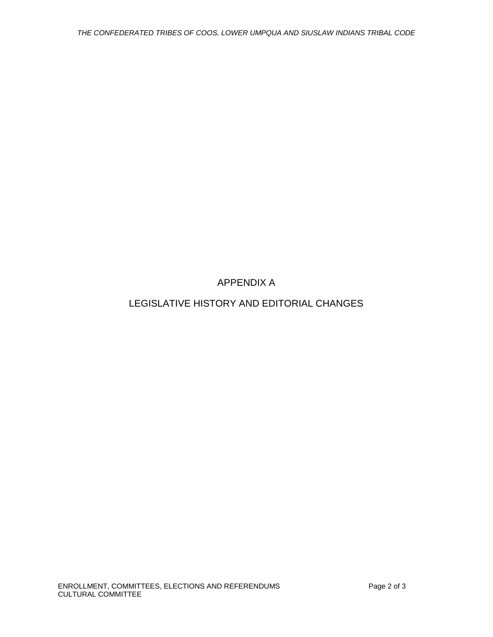APPENDIX A

LEGISLATIVE HISTORY AND EDITORIAL CHANGES